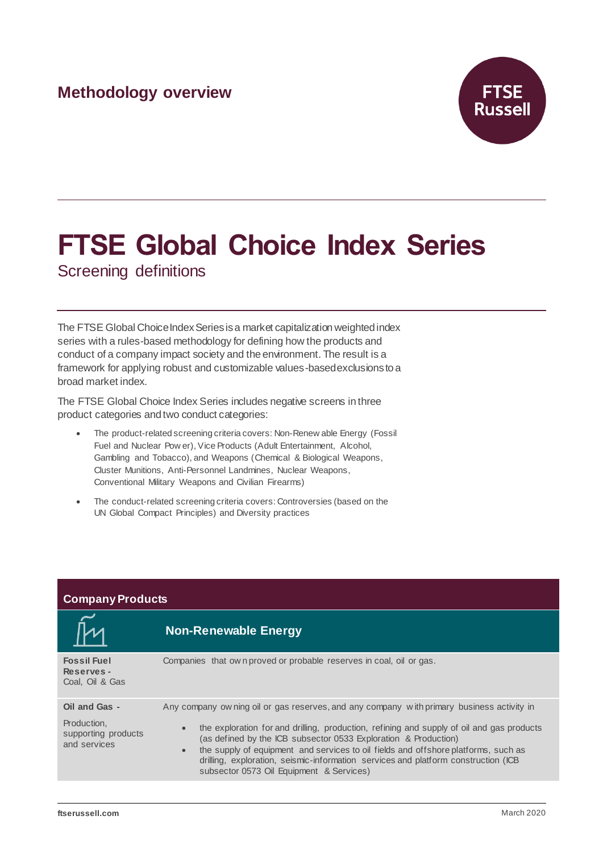## **Methodology overview**



# **FTSE Global Choice Index Series**

Screening definitions

The FTSE Global Choice Index Series is a market capitalization weighted index series with a rules-based methodology for defining how the products and conduct of a company impact society and the environment. The result is a framework for applying robust and customizable values-basedexclusionsto a broad market index.

The FTSE Global Choice Index Series includes negative screens in three product categories and two conduct categories:

- The product-related screening criteria covers: Non-Renew able Energy (Fossil Fuel and Nuclear Pow er), Vice Products (Adult Entertainment, Alcohol, Gambling and Tobacco), and Weapons (Chemical & Biological Weapons, Cluster Munitions, Anti-Personnel Landmines, Nuclear Weapons, Conventional Military Weapons and Civilian Firearms)
- The conduct-related screening criteria covers: Controversies (based on the UN Global Compact Principles) and Diversity practices

| <b>Company Products</b>                                             |                                                                                                                                                                                                                                                                                                                                                                                                                                                                                                              |  |
|---------------------------------------------------------------------|--------------------------------------------------------------------------------------------------------------------------------------------------------------------------------------------------------------------------------------------------------------------------------------------------------------------------------------------------------------------------------------------------------------------------------------------------------------------------------------------------------------|--|
|                                                                     | <b>Non-Renewable Energy</b>                                                                                                                                                                                                                                                                                                                                                                                                                                                                                  |  |
| <b>Fossil Fuel</b><br>Reserves-<br>Coal, Oil & Gas                  | Companies that own proved or probable reserves in coal, oil or gas.                                                                                                                                                                                                                                                                                                                                                                                                                                          |  |
| Oil and Gas -<br>Production,<br>supporting products<br>and services | Any company ow ning oil or gas reserves, and any company with primary business activity in<br>the exploration for and drilling, production, refining and supply of oil and gas products<br>$\bullet$<br>(as defined by the ICB subsector 0533 Exploration & Production)<br>the supply of equipment and services to oil fields and offshore platforms, such as<br>$\bullet$<br>drilling, exploration, seismic-information services and platform construction (ICB<br>subsector 0573 Oil Equipment & Services) |  |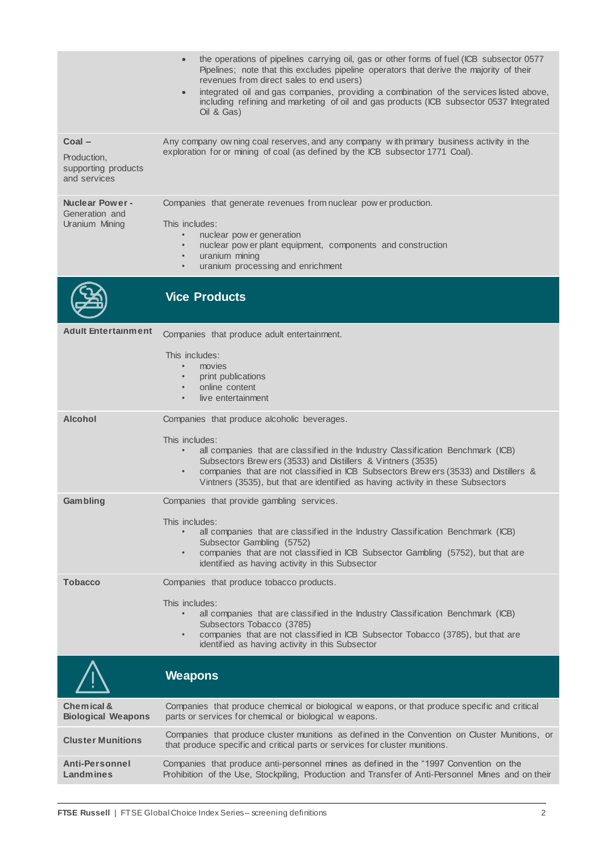|                                                             | the operations of pipelines carrying oil, gas or other forms of fuel (ICB subsector 0577<br>Pipelines; note that this excludes pipeline operators that derive the majority of their<br>revenues from direct sales to end users)<br>integrated oil and gas companies, providing a combination of the services listed above,<br>$\bullet$<br>including refining and marketing of oil and gas products (ICB subsector 0537 Integrated<br>Oil & Gas |
|-------------------------------------------------------------|-------------------------------------------------------------------------------------------------------------------------------------------------------------------------------------------------------------------------------------------------------------------------------------------------------------------------------------------------------------------------------------------------------------------------------------------------|
| Coal-<br>Production,<br>supporting products<br>and services | Any company ow ning coal reserves, and any company with primary business activity in the<br>exploration for or mining of coal (as defined by the ICB subsector 1771 Coal).                                                                                                                                                                                                                                                                      |
| <b>Nuclear Power -</b><br>Generation and<br>Uranium Mining  | Companies that generate revenues from nuclear pow er production.<br>This includes:<br>nuclear pow er generation<br>$\bullet$<br>nuclear pow er plant equipment, components and construction<br>$\bullet$<br>uranium mining<br>$\bullet$<br>uranium processing and enrichment<br>$\bullet$                                                                                                                                                       |
|                                                             | <b>Vice Products</b>                                                                                                                                                                                                                                                                                                                                                                                                                            |
| <b>Adult Entertainment</b>                                  | Companies that produce adult entertainment.<br>This includes:<br>movies<br>$\bullet$<br>print publications<br>$\bullet$<br>online content<br>$\bullet$<br>live entertainment<br>$\bullet$                                                                                                                                                                                                                                                       |
| <b>Alcohol</b>                                              | Companies that produce alcoholic beverages.<br>This includes:<br>all companies that are classified in the Industry Classification Benchmark (ICB)<br>$\bullet$<br>Subsectors Brew ers (3533) and Distillers & Vintners (3535)<br>companies that are not classified in ICB Subsectors Brew ers (3533) and Distillers &<br>$\bullet$<br>Vintners (3535), but that are identified as having activity in these Subsectors                           |
| <b>Gambling</b>                                             | Companies that provide gambling services.<br>This includes:<br>all companies that are classified in the Industry Classification Benchmark (ICB)<br>Subsector Gambling (5752)<br>companies that are not classified in ICB Subsector Gambling (5752), but that are<br>$\bullet$<br>identified as having activity in this Subsector                                                                                                                |
| <b>Tobacco</b>                                              | Companies that produce tobacco products.<br>This includes:<br>all companies that are classified in the Industry Classification Benchmark (ICB)<br>Subsectors Tobacco (3785)<br>companies that are not classified in ICB Subsector Tobacco (3785), but that are<br>$\bullet$<br>identified as having activity in this Subsector                                                                                                                  |
|                                                             | <b>Weapons</b>                                                                                                                                                                                                                                                                                                                                                                                                                                  |
| Chemical &<br><b>Biological Weapons</b>                     | Companies that produce chemical or biological weapons, or that produce specific and critical<br>parts or services for chemical or biological weapons.                                                                                                                                                                                                                                                                                           |
| <b>Cluster Munitions</b>                                    | Companies that produce cluster munitions as defined in the Convention on Cluster Munitions, or<br>that produce specific and critical parts or services for cluster munitions.                                                                                                                                                                                                                                                                   |
| <b>Anti-Personnel</b><br>Landmines                          | Companies that produce anti-personnel mines as defined in the "1997 Convention on the<br>Prohibition of the Use, Stockpiling, Production and Transfer of Anti-Personnel Mines and on their                                                                                                                                                                                                                                                      |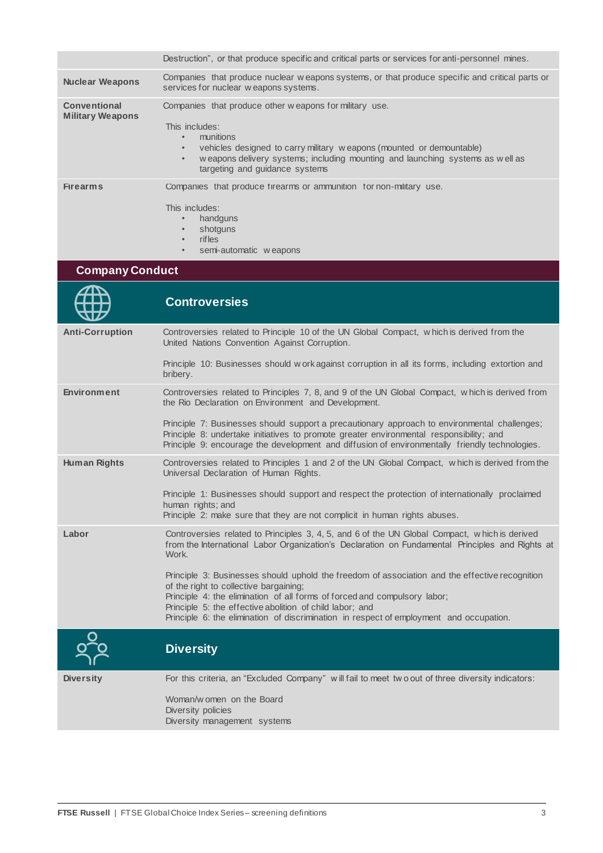|                                                | Destruction", or that produce specific and critical parts or services for anti-personnel mines.                                                                                                                                                                                               |
|------------------------------------------------|-----------------------------------------------------------------------------------------------------------------------------------------------------------------------------------------------------------------------------------------------------------------------------------------------|
| <b>Nuclear Weapons</b>                         | Companies that produce nuclear weapons systems, or that produce specific and critical parts or<br>services for nuclear weapons systems.                                                                                                                                                       |
| <b>Conventional</b><br><b>Military Weapons</b> | Companies that produce other weapons for military use.<br>This includes:<br>munitions<br>$\bullet$<br>vehicles designed to carry military weapons (mounted or demountable)<br>weapons delivery systems; including mounting and launching systems as well as<br>targeting and guidance systems |
| <b>Firearms</b>                                | Companies that produce firearms or ammunition for non-military use.<br>This includes:<br>handguns<br>shotguns                                                                                                                                                                                 |

- rifles<br>• semi-
- semi-automatic w eapons

#### **Company Conduct**

|                        | <b>Controversies</b>                                                                                                                                                                                                                                                                      |
|------------------------|-------------------------------------------------------------------------------------------------------------------------------------------------------------------------------------------------------------------------------------------------------------------------------------------|
| <b>Anti-Corruption</b> | Controversies related to Principle 10 of the UN Global Compact, which is derived from the<br>United Nations Convention Against Corruption.                                                                                                                                                |
|                        | Principle 10: Businesses should w ork against corruption in all its forms, including extortion and<br>bribery.                                                                                                                                                                            |
| <b>Environment</b>     | Controversies related to Principles 7, 8, and 9 of the UN Global Compact, which is derived from<br>the Rio Declaration on Environment and Development.                                                                                                                                    |
|                        | Principle 7: Businesses should support a precautionary approach to environmental challenges;<br>Principle 8: undertake initiatives to promote greater environmental responsibility; and<br>Principle 9: encourage the development and diffusion of environmentally friendly technologies. |
| <b>Human Rights</b>    | Controversies related to Principles 1 and 2 of the UN Global Compact, which is derived from the<br>Universal Declaration of Human Rights.                                                                                                                                                 |
|                        | Principle 1: Businesses should support and respect the protection of internationally proclaimed<br>human rights; and<br>Principle 2: make sure that they are not complicit in human rights abuses.                                                                                        |
| Labor                  | Controversies related to Principles 3, 4, 5, and 6 of the UN Global Compact, which is derived<br>from the International Labor Organization's Declaration on Fundamental Principles and Rights at<br>Work.                                                                                 |
|                        | Principle 3: Businesses should uphold the freedom of association and the effective recognition<br>of the right to collective bargaining;<br>Principle 4: the elimination of all forms of forced and compulsory labor;<br>Principle 5: the effective abolition of child labor; and         |
|                        | Principle 6: the elimination of discrimination in respect of employment and occupation.                                                                                                                                                                                                   |
|                        | <b>Diversity</b>                                                                                                                                                                                                                                                                          |
| <b>Diversity</b>       | For this criteria, an "Excluded Company" will fail to meet two out of three diversity indicators:                                                                                                                                                                                         |
|                        | Woman/w omen on the Board<br>Diversity policies<br>Diversity management systems                                                                                                                                                                                                           |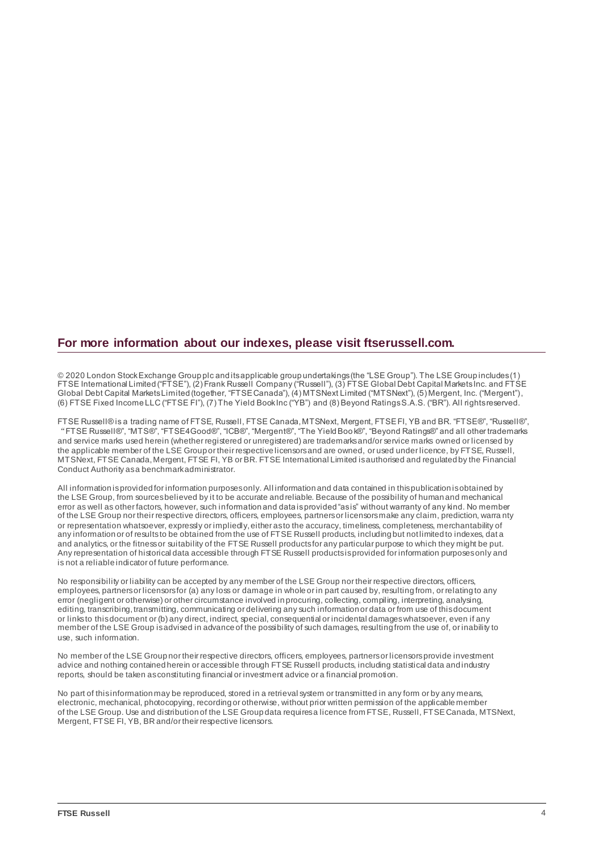#### **For more information about our indexes, please visit ftserussell.com.**

© 2020 London Stock Exchange Group plc and its applicable group undertakings (the "LSE Group"). The LSE Group includes (1) FTSE International Limited ("FTSE"), (2) Frank Russell Company ("Russell"), (3) FTSE Global Debt Capital Markets Inc. and FTSE Global Debt Capital Markets Limited (together, "FTSE Canada"), (4) MTSNext Limited ("MTSNext"), (5) Mergent, Inc. ("Mergent"), (6) FTSE Fixed Income LLC ("FTSE FI"), (7) The Yield Book Inc ("YB") and (8) Beyond Ratings S.A.S. ("BR"). All rights reserved.

FTSE Russell® is a trading name of FTSE, Russell, FTSE Canada, MTSNext, Mergent, FTSE FI, YB and BR. "FTSE®", "Russell®", "FTSE Russell®", "MTS®", "FTSE4Good®", "ICB®", "Mergent®", "The Yield Book®", "Beyond Ratings®" and all other trademarks and service marks used herein (whether registered or unregistered) are trademarks and/or service marks owned or licensed by the applicable member of the LSE Group or their respective licensors and are owned, or used under licence, by FTSE, Russell, MTSNext, FTSE Canada, Mergent, FTSE FI, YB or BR. FTSE International Limited is authorised and regulated by the Financial Conduct Authority as a benchmark administrator.

All information is provided for information purposes only. All information and data contained in this publication is obtained by the LSE Group, from sources believed by it to be accurate and reliable. Because of the possibility of human and mechanical error as well as other factors, however, such information and data is provided "as is" without warranty of any kind. No member of the LSE Group nor their respective directors, officers, employees, partners or licensors make any claim, prediction, warra nty or representation whatsoever, expressly or impliedly, either as to the accuracy, timeliness, completeness, merchantability of any information or of results to be obtained from the use of FTSE Russell products, including but not limited to indexes, dat a and analytics, or the fitness or suitability of the FTSE Russell products for any particular purpose to which they might be put. Any representation of historical data accessible through FTSE Russell products is provided for information purposes only and is not a reliable indicator of future performance.

No responsibility or liability can be accepted by any member of the LSE Group nor their respective directors, officers, employees, partners or licensors for (a) any loss or damage in whole or in part caused by, resulting from, or relating to any error (negligent or otherwise) or other circumstance involved in procuring, collecting, compiling, interpreting, analysing, editing, transcribing, transmitting, communicating or delivering any such information or data or from use of this document or links to this document or (b) any direct, indirect, special, consequential or incidental damages whatsoever, even if any member of the LSE Group is advised in advance of the possibility of such damages, resulting from the use of, or inability to use, such information.

No member of the LSE Group nor their respective directors, officers, employees, partners or licensors provide investment advice and nothing contained herein or accessible through FTSE Russell products, including statistical data and industry reports, should be taken as constituting financial or investment advice or a financial promotion.

No part of this information may be reproduced, stored in a retrieval system or transmitted in any form or by any means, electronic, mechanical, photocopying, recording or otherwise, without prior written permission of the applicable member of the LSE Group. Use and distribution of the LSE Group data requires a licence from FTSE, Russell, FTSE Canada, MTSNext, Mergent, FTSE FI, YB, BR and/or their respective licensors.